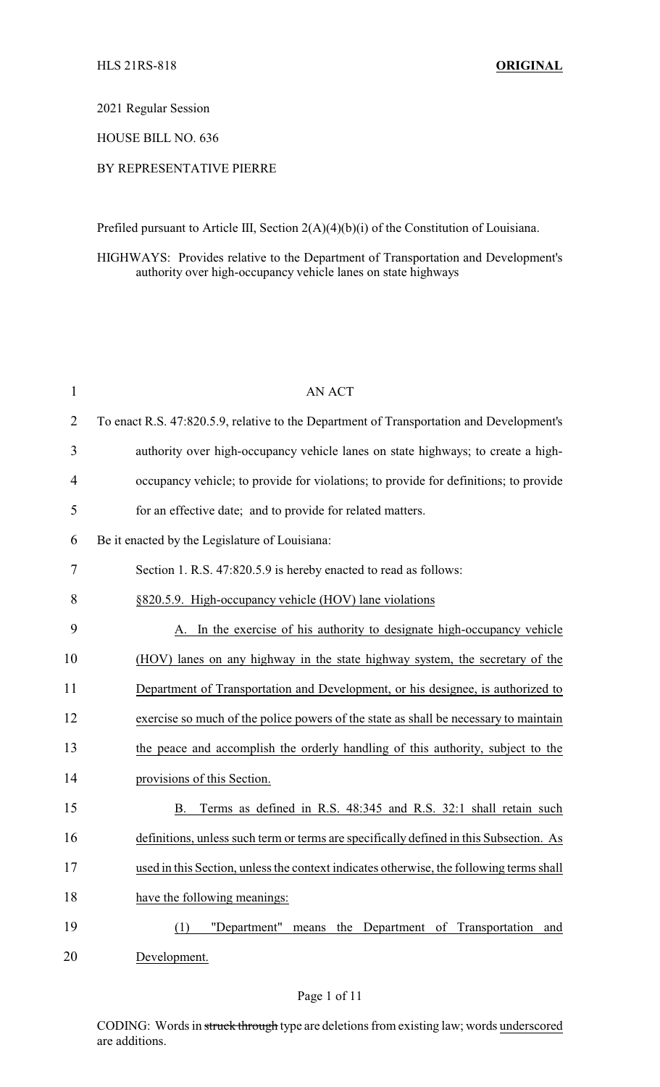### 2021 Regular Session

## HOUSE BILL NO. 636

# BY REPRESENTATIVE PIERRE

Prefiled pursuant to Article III, Section 2(A)(4)(b)(i) of the Constitution of Louisiana.

HIGHWAYS: Provides relative to the Department of Transportation and Development's authority over high-occupancy vehicle lanes on state highways

| $\mathbf{1}$   | <b>AN ACT</b>                                                                            |
|----------------|------------------------------------------------------------------------------------------|
| $\overline{2}$ | To enact R.S. 47:820.5.9, relative to the Department of Transportation and Development's |
| 3              | authority over high-occupancy vehicle lanes on state highways; to create a high-         |
| $\overline{4}$ | occupancy vehicle; to provide for violations; to provide for definitions; to provide     |
| 5              | for an effective date; and to provide for related matters.                               |
| 6              | Be it enacted by the Legislature of Louisiana:                                           |
| 7              | Section 1. R.S. 47:820.5.9 is hereby enacted to read as follows:                         |
| 8              | §820.5.9. High-occupancy vehicle (HOV) lane violations                                   |
| 9              | In the exercise of his authority to designate high-occupancy vehicle                     |
| 10             | (HOV) lanes on any highway in the state highway system, the secretary of the             |
| 11             | Department of Transportation and Development, or his designee, is authorized to          |
| 12             | exercise so much of the police powers of the state as shall be necessary to maintain     |
| 13             | the peace and accomplish the orderly handling of this authority, subject to the          |
| 14             | provisions of this Section.                                                              |
| 15             | Terms as defined in R.S. 48:345 and R.S. 32:1 shall retain such<br>B.                    |
| 16             | definitions, unless such term or terms are specifically defined in this Subsection. As   |
| 17             | used in this Section, unless the context indicates otherwise, the following terms shall  |
| 18             | have the following meanings:                                                             |
| 19             | "Department"<br>means the Department of Transportation<br>(1)<br>and                     |
| 20             | Development.                                                                             |

CODING: Words in struck through type are deletions from existing law; words underscored are additions.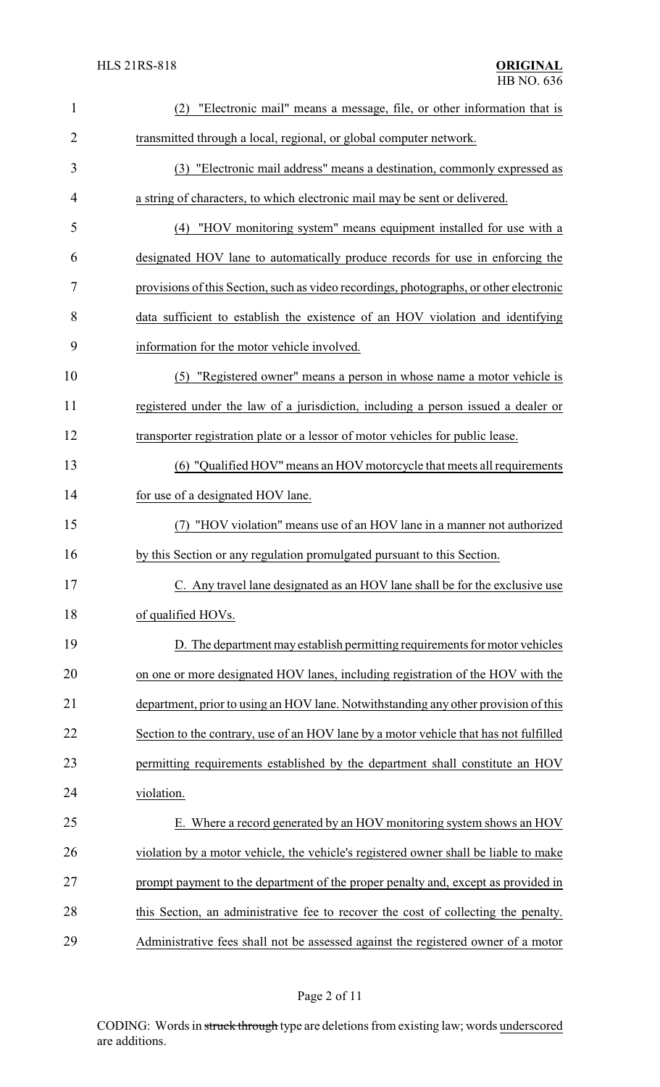| $\mathbf{1}$   | "Electronic mail" means a message, file, or other information that is<br>(2)           |  |  |
|----------------|----------------------------------------------------------------------------------------|--|--|
| $\overline{2}$ | transmitted through a local, regional, or global computer network.                     |  |  |
| 3              | (3) "Electronic mail address" means a destination, commonly expressed as               |  |  |
| 4              | a string of characters, to which electronic mail may be sent or delivered.             |  |  |
| 5              | (4) "HOV monitoring system" means equipment installed for use with a                   |  |  |
| 6              | designated HOV lane to automatically produce records for use in enforcing the          |  |  |
| 7              | provisions of this Section, such as video recordings, photographs, or other electronic |  |  |
| 8              | data sufficient to establish the existence of an HOV violation and identifying         |  |  |
| 9              | information for the motor vehicle involved.                                            |  |  |
| 10             | "Registered owner" means a person in whose name a motor vehicle is<br>(5)              |  |  |
| 11             | registered under the law of a jurisdiction, including a person issued a dealer or      |  |  |
| 12             | transporter registration plate or a lessor of motor vehicles for public lease.         |  |  |
| 13             | (6) "Qualified HOV" means an HOV motorcycle that meets all requirements                |  |  |
| 14             | for use of a designated HOV lane.                                                      |  |  |
| 15             | "HOV violation" means use of an HOV lane in a manner not authorized                    |  |  |
| 16             | by this Section or any regulation promulgated pursuant to this Section.                |  |  |
| 17             | C. Any travel lane designated as an HOV lane shall be for the exclusive use            |  |  |
| 18             | of qualified HOVs.                                                                     |  |  |
| 19             | D. The department may establish permitting requirements for motor vehicles             |  |  |
| 20             | on one or more designated HOV lanes, including registration of the HOV with the        |  |  |
| 21             | department, prior to using an HOV lane. Notwithstanding any other provision of this    |  |  |
| 22             | Section to the contrary, use of an HOV lane by a motor vehicle that has not fulfilled  |  |  |
| 23             | permitting requirements established by the department shall constitute an HOV          |  |  |
| 24             | violation.                                                                             |  |  |
| 25             | E. Where a record generated by an HOV monitoring system shows an HOV                   |  |  |
| 26             | violation by a motor vehicle, the vehicle's registered owner shall be liable to make   |  |  |
| 27             | prompt payment to the department of the proper penalty and, except as provided in      |  |  |
| 28             | this Section, an administrative fee to recover the cost of collecting the penalty.     |  |  |
| 29             | Administrative fees shall not be assessed against the registered owner of a motor      |  |  |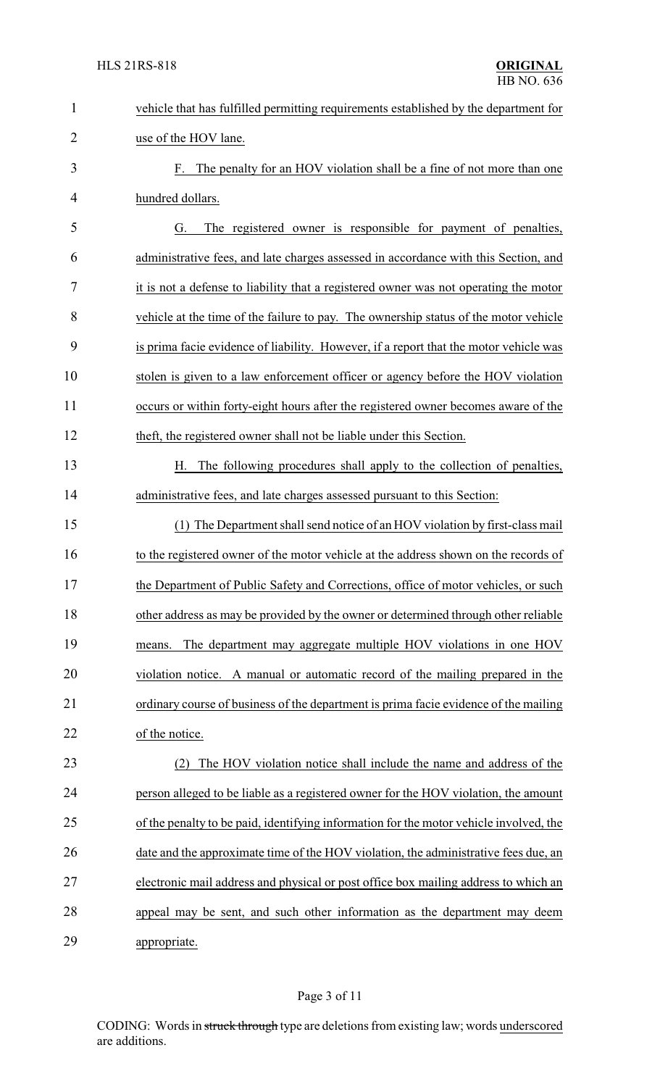| $\mathbf{1}$   | vehicle that has fulfilled permitting requirements established by the department for   |
|----------------|----------------------------------------------------------------------------------------|
| $\overline{2}$ | use of the HOV lane.                                                                   |
| 3              | F. The penalty for an HOV violation shall be a fine of not more than one               |
| 4              | hundred dollars.                                                                       |
| 5              | The registered owner is responsible for payment of penalties,<br>G.                    |
| 6              | administrative fees, and late charges assessed in accordance with this Section, and    |
| 7              | it is not a defense to liability that a registered owner was not operating the motor   |
| 8              | vehicle at the time of the failure to pay. The ownership status of the motor vehicle   |
| 9              | is prima facie evidence of liability. However, if a report that the motor vehicle was  |
| 10             | stolen is given to a law enforcement officer or agency before the HOV violation        |
| 11             | occurs or within forty-eight hours after the registered owner becomes aware of the     |
| 12             | theft, the registered owner shall not be liable under this Section.                    |
| 13             | The following procedures shall apply to the collection of penalties,<br>Н.             |
| 14             | administrative fees, and late charges assessed pursuant to this Section:               |
| 15             | (1) The Department shall send notice of an HOV violation by first-class mail           |
| 16             | to the registered owner of the motor vehicle at the address shown on the records of    |
| 17             | the Department of Public Safety and Corrections, office of motor vehicles, or such     |
| 18             | other address as may be provided by the owner or determined through other reliable     |
| 19             | The department may aggregate multiple HOV violations in one HOV<br>means.              |
| 20             | violation notice. A manual or automatic record of the mailing prepared in the          |
| 21             | ordinary course of business of the department is prima facie evidence of the mailing   |
| 22             | of the notice.                                                                         |
| 23             | The HOV violation notice shall include the name and address of the<br>(2)              |
| 24             | person alleged to be liable as a registered owner for the HOV violation, the amount    |
| 25             | of the penalty to be paid, identifying information for the motor vehicle involved, the |
| 26             | date and the approximate time of the HOV violation, the administrative fees due, an    |
| 27             | electronic mail address and physical or post office box mailing address to which an    |
| 28             | appeal may be sent, and such other information as the department may deem              |
| 29             | appropriate.                                                                           |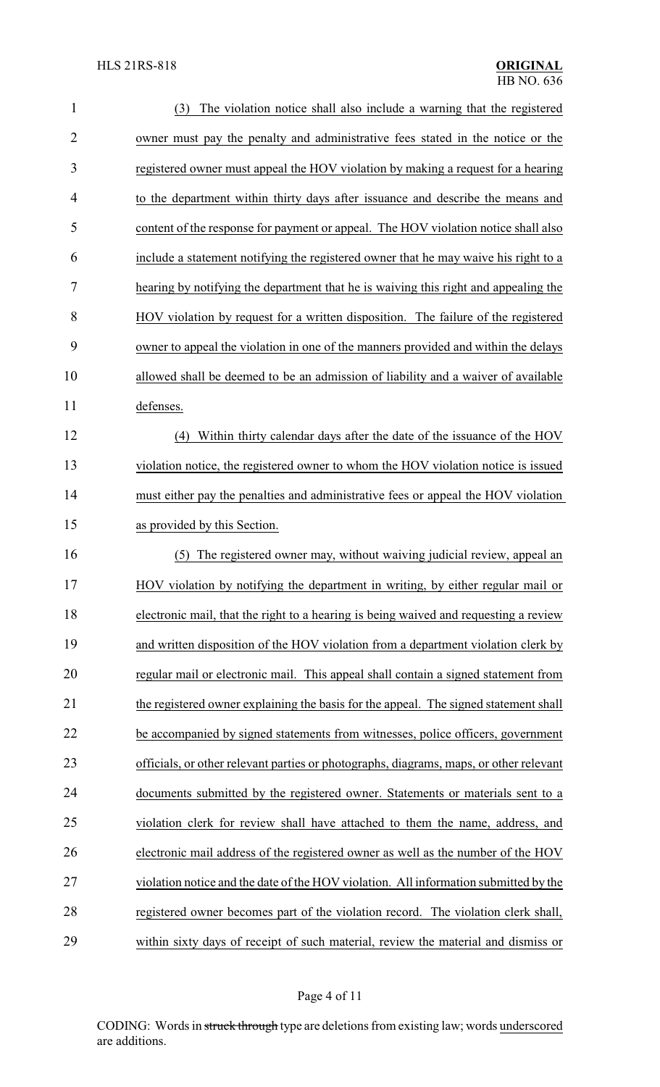| $\mathbf{1}$   | The violation notice shall also include a warning that the registered<br>(3)           |
|----------------|----------------------------------------------------------------------------------------|
| $\overline{2}$ | owner must pay the penalty and administrative fees stated in the notice or the         |
| 3              | registered owner must appeal the HOV violation by making a request for a hearing       |
| 4              | to the department within thirty days after issuance and describe the means and         |
| 5              | content of the response for payment or appeal. The HOV violation notice shall also     |
| 6              | include a statement notifying the registered owner that he may waive his right to a    |
| 7              | hearing by notifying the department that he is waiving this right and appealing the    |
| 8              | HOV violation by request for a written disposition. The failure of the registered      |
| 9              | owner to appeal the violation in one of the manners provided and within the delays     |
| 10             | allowed shall be deemed to be an admission of liability and a waiver of available      |
| 11             | defenses.                                                                              |
| 12             | Within thirty calendar days after the date of the issuance of the HOV<br>(4)           |
| 13             | violation notice, the registered owner to whom the HOV violation notice is issued      |
| 14             | must either pay the penalties and administrative fees or appeal the HOV violation      |
| 15             | as provided by this Section.                                                           |
| 16             | The registered owner may, without waiving judicial review, appeal an<br>(5)            |
| 17             | HOV violation by notifying the department in writing, by either regular mail or        |
| 18             | electronic mail, that the right to a hearing is being waived and requesting a review   |
| 19             | and written disposition of the HOV violation from a department violation clerk by      |
| 20             | regular mail or electronic mail. This appeal shall contain a signed statement from     |
| 21             | the registered owner explaining the basis for the appeal. The signed statement shall   |
| 22             | be accompanied by signed statements from witnesses, police officers, government        |
| 23             | officials, or other relevant parties or photographs, diagrams, maps, or other relevant |
| 24             | documents submitted by the registered owner. Statements or materials sent to a         |
| 25             | violation clerk for review shall have attached to them the name, address, and          |
| 26             | electronic mail address of the registered owner as well as the number of the HOV       |
| 27             | violation notice and the date of the HOV violation. All information submitted by the   |
| 28             | registered owner becomes part of the violation record. The violation clerk shall,      |
| 29             | within sixty days of receipt of such material, review the material and dismiss or      |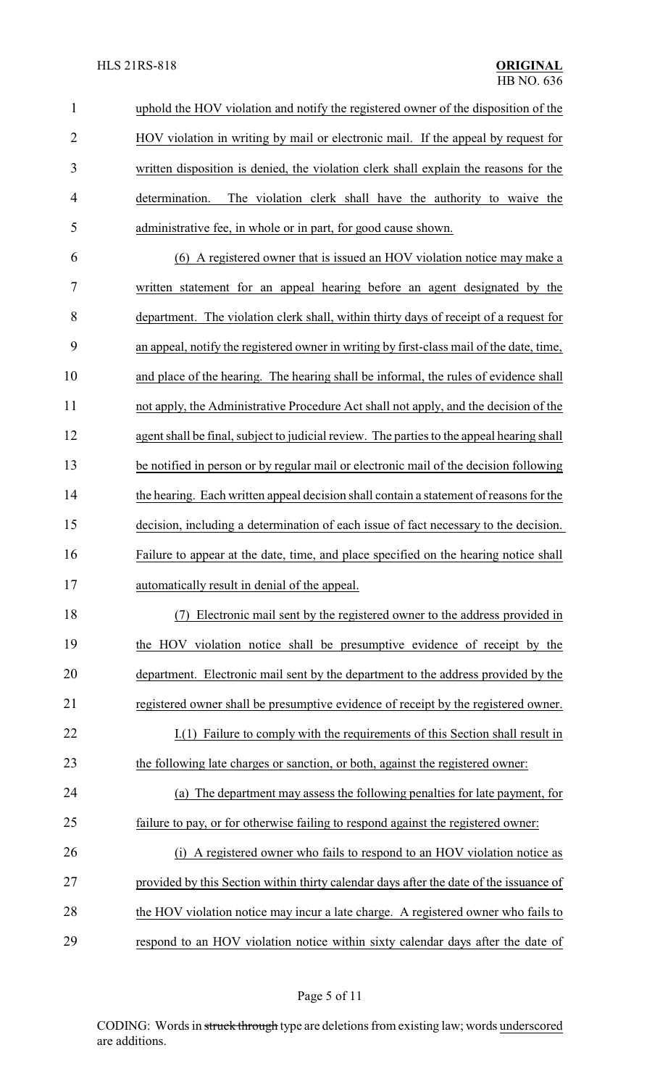| $\mathbf{1}$   | uphold the HOV violation and notify the registered owner of the disposition of the        |
|----------------|-------------------------------------------------------------------------------------------|
| $\overline{2}$ | HOV violation in writing by mail or electronic mail. If the appeal by request for         |
| 3              | written disposition is denied, the violation clerk shall explain the reasons for the      |
| 4              | determination.<br>The violation clerk shall have the authority to waive the               |
| 5              | administrative fee, in whole or in part, for good cause shown.                            |
| 6              | (6) A registered owner that is issued an HOV violation notice may make a                  |
| 7              | written statement for an appeal hearing before an agent designated by the                 |
| 8              | department. The violation clerk shall, within thirty days of receipt of a request for     |
| 9              | an appeal, notify the registered owner in writing by first-class mail of the date, time,  |
| 10             | and place of the hearing. The hearing shall be informal, the rules of evidence shall      |
| 11             | not apply, the Administrative Procedure Act shall not apply, and the decision of the      |
| 12             | agent shall be final, subject to judicial review. The parties to the appeal hearing shall |
| 13             | be notified in person or by regular mail or electronic mail of the decision following     |
| 14             | the hearing. Each written appeal decision shall contain a statement of reasons for the    |
| 15             | decision, including a determination of each issue of fact necessary to the decision.      |
| 16             | Failure to appear at the date, time, and place specified on the hearing notice shall      |
| 17             | automatically result in denial of the appeal.                                             |
| 18             | Electronic mail sent by the registered owner to the address provided in                   |
| 19             | the HOV violation notice shall be presumptive evidence of receipt by the                  |
| 20             | department. Electronic mail sent by the department to the address provided by the         |
| 21             | registered owner shall be presumptive evidence of receipt by the registered owner.        |
| 22             | I.(1) Failure to comply with the requirements of this Section shall result in             |
| 23             | the following late charges or sanction, or both, against the registered owner:            |
| 24             | The department may assess the following penalties for late payment, for<br>(a)            |
| 25             | failure to pay, or for otherwise failing to respond against the registered owner:         |
| 26             | (i) A registered owner who fails to respond to an HOV violation notice as                 |
| 27             | provided by this Section within thirty calendar days after the date of the issuance of    |
| 28             | the HOV violation notice may incur a late charge. A registered owner who fails to         |
| 29             | respond to an HOV violation notice within sixty calendar days after the date of           |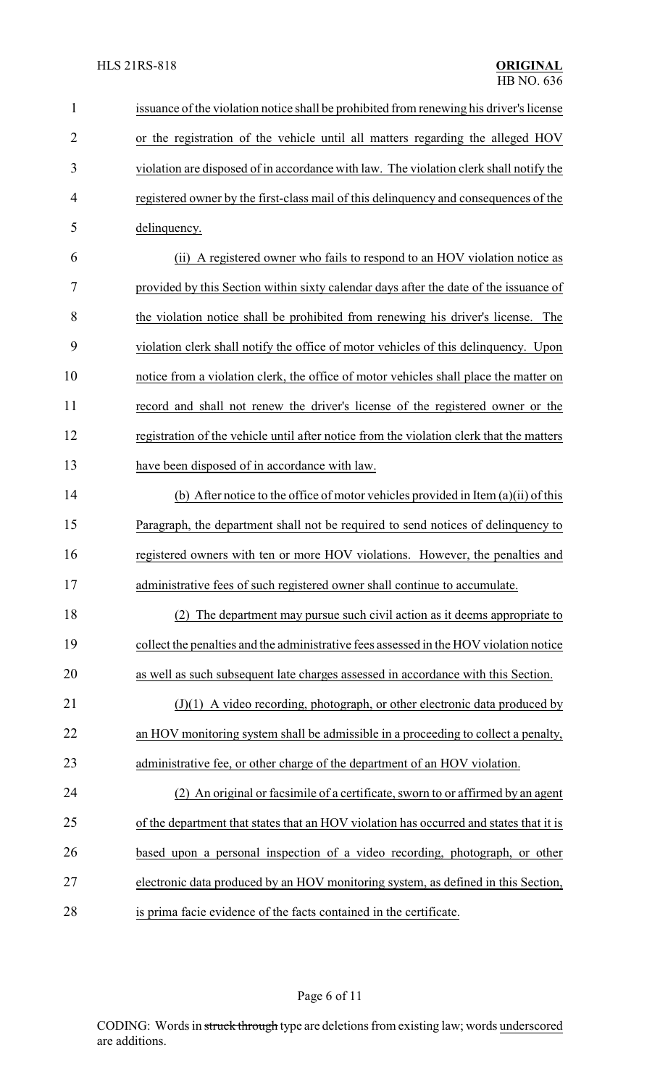| $\mathbf{1}$   | issuance of the violation notice shall be prohibited from renewing his driver's license  |
|----------------|------------------------------------------------------------------------------------------|
| $\overline{2}$ | or the registration of the vehicle until all matters regarding the alleged HOV           |
| 3              | violation are disposed of in accordance with law. The violation clerk shall notify the   |
| 4              | registered owner by the first-class mail of this delinquency and consequences of the     |
| 5              | delinquency.                                                                             |
| 6              | (ii) A registered owner who fails to respond to an HOV violation notice as               |
| 7              | provided by this Section within sixty calendar days after the date of the issuance of    |
| 8              | the violation notice shall be prohibited from renewing his driver's license.<br>The      |
| 9              | violation clerk shall notify the office of motor vehicles of this delinquency. Upon      |
| 10             | notice from a violation clerk, the office of motor vehicles shall place the matter on    |
| 11             | record and shall not renew the driver's license of the registered owner or the           |
| 12             | registration of the vehicle until after notice from the violation clerk that the matters |
| 13             | have been disposed of in accordance with law.                                            |
| 14             | (b) After notice to the office of motor vehicles provided in Item $(a)(ii)$ of this      |
| 15             | Paragraph, the department shall not be required to send notices of delinquency to        |
| 16             | registered owners with ten or more HOV violations. However, the penalties and            |
| 17             | administrative fees of such registered owner shall continue to accumulate.               |
| 18             | (2) The department may pursue such civil action as it deems appropriate to               |
| 19             | collect the penalties and the administrative fees assessed in the HOV violation notice   |
| 20             | as well as such subsequent late charges assessed in accordance with this Section.        |
| 21             | $(J)(1)$ A video recording, photograph, or other electronic data produced by             |
| 22             | an HOV monitoring system shall be admissible in a proceeding to collect a penalty,       |
| 23             | administrative fee, or other charge of the department of an HOV violation.               |
| 24             | (2) An original or facsimile of a certificate, sworn to or affirmed by an agent          |
| 25             | of the department that states that an HOV violation has occurred and states that it is   |
| 26             | based upon a personal inspection of a video recording, photograph, or other              |
| 27             | electronic data produced by an HOV monitoring system, as defined in this Section,        |
| 28             | is prima facie evidence of the facts contained in the certificate.                       |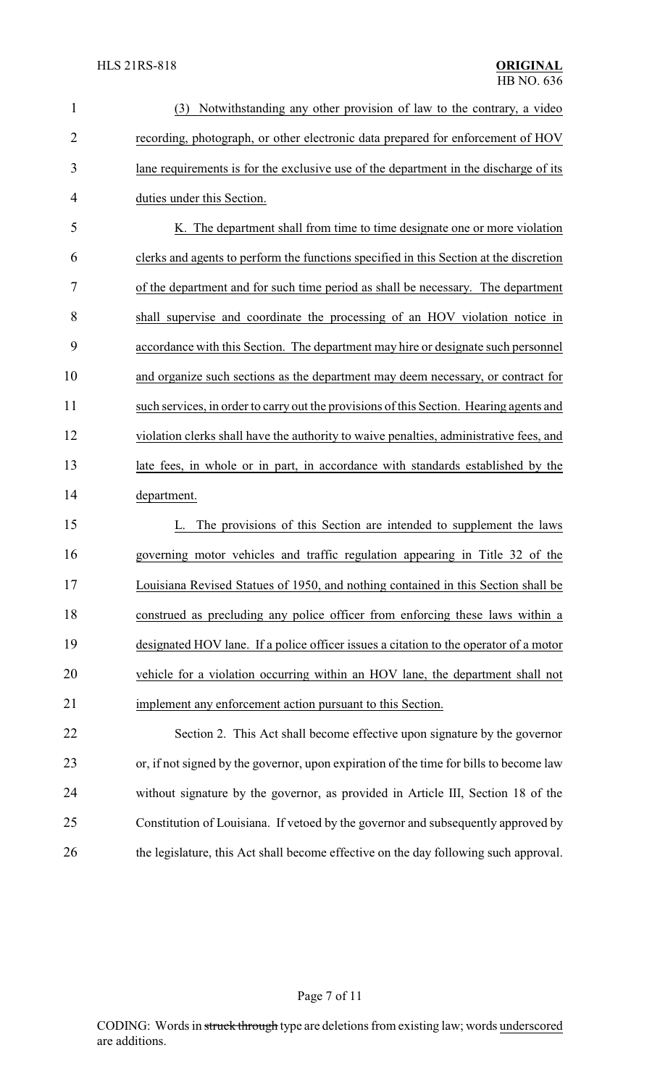| $\mathbf{1}$   | (3) Notwithstanding any other provision of law to the contrary, a video                 |
|----------------|-----------------------------------------------------------------------------------------|
| $\overline{2}$ | recording, photograph, or other electronic data prepared for enforcement of HOV         |
| 3              | lane requirements is for the exclusive use of the department in the discharge of its    |
| 4              | duties under this Section.                                                              |
| 5              | K. The department shall from time to time designate one or more violation               |
| 6              | clerks and agents to perform the functions specified in this Section at the discretion  |
| 7              | of the department and for such time period as shall be necessary. The department        |
| 8              | shall supervise and coordinate the processing of an HOV violation notice in             |
| 9              | accordance with this Section. The department may hire or designate such personnel       |
| 10             | and organize such sections as the department may deem necessary, or contract for        |
| 11             | such services, in order to carry out the provisions of this Section. Hearing agents and |
| 12             | violation clerks shall have the authority to waive penalties, administrative fees, and  |
| 13             | late fees, in whole or in part, in accordance with standards established by the         |
| 14             | department.                                                                             |
| 15             | The provisions of this Section are intended to supplement the laws<br>L.                |
| 16             | governing motor vehicles and traffic regulation appearing in Title 32 of the            |
| 17             | Louisiana Revised Statues of 1950, and nothing contained in this Section shall be       |
| 18             | construed as precluding any police officer from enforcing these laws within a           |
| 19             | designated HOV lane. If a police officer issues a citation to the operator of a motor   |
| 20             | vehicle for a violation occurring within an HOV lane, the department shall not          |
| 21             | implement any enforcement action pursuant to this Section.                              |
| 22             | Section 2. This Act shall become effective upon signature by the governor               |
| 23             | or, if not signed by the governor, upon expiration of the time for bills to become law  |
| 24             | without signature by the governor, as provided in Article III, Section 18 of the        |
| 25             | Constitution of Louisiana. If vetoed by the governor and subsequently approved by       |
| 26             | the legislature, this Act shall become effective on the day following such approval.    |

Page 7 of 11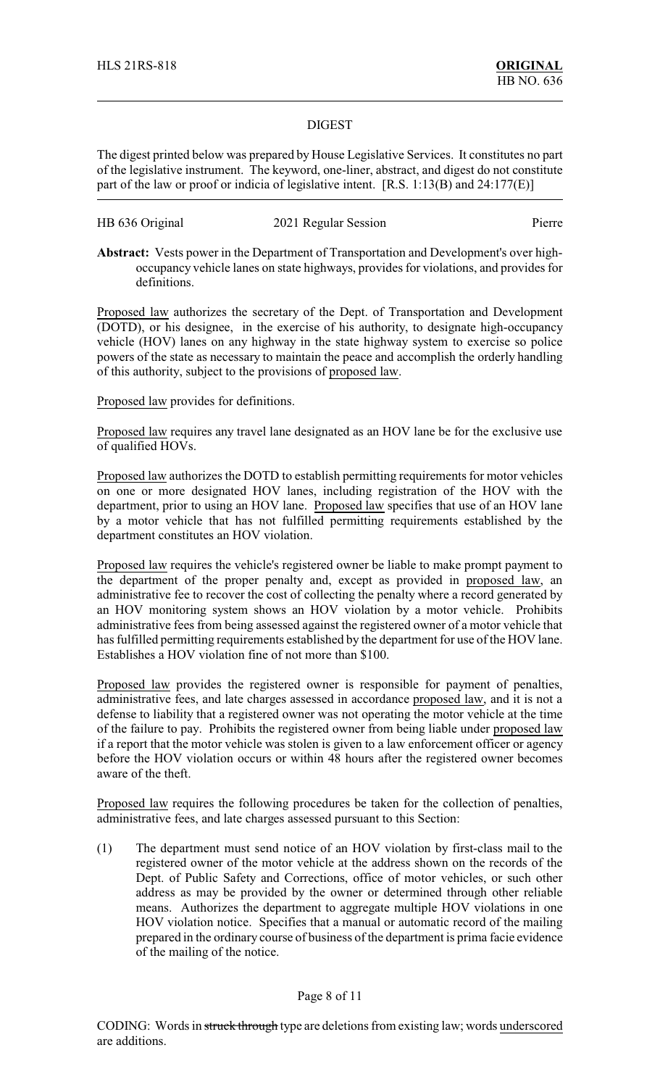### DIGEST

The digest printed below was prepared by House Legislative Services. It constitutes no part of the legislative instrument. The keyword, one-liner, abstract, and digest do not constitute part of the law or proof or indicia of legislative intent. [R.S. 1:13(B) and 24:177(E)]

| HB 636 Original | 2021 Regular Session | Pierre |
|-----------------|----------------------|--------|
|                 |                      |        |

**Abstract:** Vests power in the Department of Transportation and Development's over highoccupancy vehicle lanes on state highways, provides for violations, and provides for definitions.

Proposed law authorizes the secretary of the Dept. of Transportation and Development (DOTD), or his designee, in the exercise of his authority, to designate high-occupancy vehicle (HOV) lanes on any highway in the state highway system to exercise so police powers of the state as necessary to maintain the peace and accomplish the orderly handling of this authority, subject to the provisions of proposed law.

## Proposed law provides for definitions.

Proposed law requires any travel lane designated as an HOV lane be for the exclusive use of qualified HOVs.

Proposed law authorizes the DOTD to establish permitting requirements for motor vehicles on one or more designated HOV lanes, including registration of the HOV with the department, prior to using an HOV lane. Proposed law specifies that use of an HOV lane by a motor vehicle that has not fulfilled permitting requirements established by the department constitutes an HOV violation.

Proposed law requires the vehicle's registered owner be liable to make prompt payment to the department of the proper penalty and, except as provided in proposed law, an administrative fee to recover the cost of collecting the penalty where a record generated by an HOV monitoring system shows an HOV violation by a motor vehicle. Prohibits administrative fees from being assessed against the registered owner of a motor vehicle that has fulfilled permitting requirements established by the department for use of the HOV lane. Establishes a HOV violation fine of not more than \$100.

Proposed law provides the registered owner is responsible for payment of penalties, administrative fees, and late charges assessed in accordance proposed law, and it is not a defense to liability that a registered owner was not operating the motor vehicle at the time of the failure to pay. Prohibits the registered owner from being liable under proposed law if a report that the motor vehicle was stolen is given to a law enforcement officer or agency before the HOV violation occurs or within 48 hours after the registered owner becomes aware of the theft.

Proposed law requires the following procedures be taken for the collection of penalties, administrative fees, and late charges assessed pursuant to this Section:

(1) The department must send notice of an HOV violation by first-class mail to the registered owner of the motor vehicle at the address shown on the records of the Dept. of Public Safety and Corrections, office of motor vehicles, or such other address as may be provided by the owner or determined through other reliable means. Authorizes the department to aggregate multiple HOV violations in one HOV violation notice. Specifies that a manual or automatic record of the mailing prepared in the ordinary course of business of the department is prima facie evidence of the mailing of the notice.

#### Page 8 of 11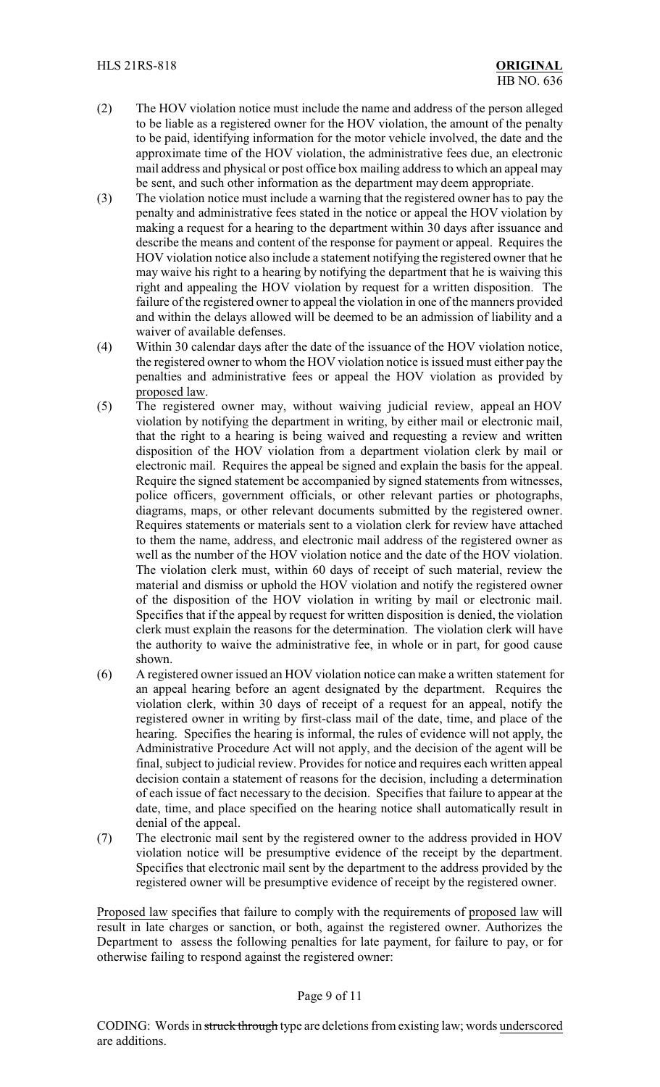- (2) The HOV violation notice must include the name and address of the person alleged to be liable as a registered owner for the HOV violation, the amount of the penalty to be paid, identifying information for the motor vehicle involved, the date and the approximate time of the HOV violation, the administrative fees due, an electronic mail address and physical or post office box mailing address to which an appeal may be sent, and such other information as the department may deem appropriate.
- (3) The violation notice must include a warning that the registered owner has to pay the penalty and administrative fees stated in the notice or appeal the HOV violation by making a request for a hearing to the department within 30 days after issuance and describe the means and content of the response for payment or appeal. Requires the HOV violation notice also include a statement notifying the registered owner that he may waive his right to a hearing by notifying the department that he is waiving this right and appealing the HOV violation by request for a written disposition. The failure of the registered owner to appeal the violation in one of the manners provided and within the delays allowed will be deemed to be an admission of liability and a waiver of available defenses.
- (4) Within 30 calendar days after the date of the issuance of the HOV violation notice, the registered owner to whom the HOV violation notice is issued must either pay the penalties and administrative fees or appeal the HOV violation as provided by proposed law.
- (5) The registered owner may, without waiving judicial review, appeal an HOV violation by notifying the department in writing, by either mail or electronic mail, that the right to a hearing is being waived and requesting a review and written disposition of the HOV violation from a department violation clerk by mail or electronic mail. Requires the appeal be signed and explain the basis for the appeal. Require the signed statement be accompanied by signed statements from witnesses, police officers, government officials, or other relevant parties or photographs, diagrams, maps, or other relevant documents submitted by the registered owner. Requires statements or materials sent to a violation clerk for review have attached to them the name, address, and electronic mail address of the registered owner as well as the number of the HOV violation notice and the date of the HOV violation. The violation clerk must, within 60 days of receipt of such material, review the material and dismiss or uphold the HOV violation and notify the registered owner of the disposition of the HOV violation in writing by mail or electronic mail. Specifies that if the appeal by request for written disposition is denied, the violation clerk must explain the reasons for the determination. The violation clerk will have the authority to waive the administrative fee, in whole or in part, for good cause shown.
- (6) A registered owner issued an HOV violation notice can make a written statement for an appeal hearing before an agent designated by the department. Requires the violation clerk, within 30 days of receipt of a request for an appeal, notify the registered owner in writing by first-class mail of the date, time, and place of the hearing. Specifies the hearing is informal, the rules of evidence will not apply, the Administrative Procedure Act will not apply, and the decision of the agent will be final, subject to judicial review. Provides for notice and requires each written appeal decision contain a statement of reasons for the decision, including a determination of each issue of fact necessary to the decision. Specifies that failure to appear at the date, time, and place specified on the hearing notice shall automatically result in denial of the appeal.
- (7) The electronic mail sent by the registered owner to the address provided in HOV violation notice will be presumptive evidence of the receipt by the department. Specifies that electronic mail sent by the department to the address provided by the registered owner will be presumptive evidence of receipt by the registered owner.

Proposed law specifies that failure to comply with the requirements of proposed law will result in late charges or sanction, or both, against the registered owner. Authorizes the Department to assess the following penalties for late payment, for failure to pay, or for otherwise failing to respond against the registered owner:

#### Page 9 of 11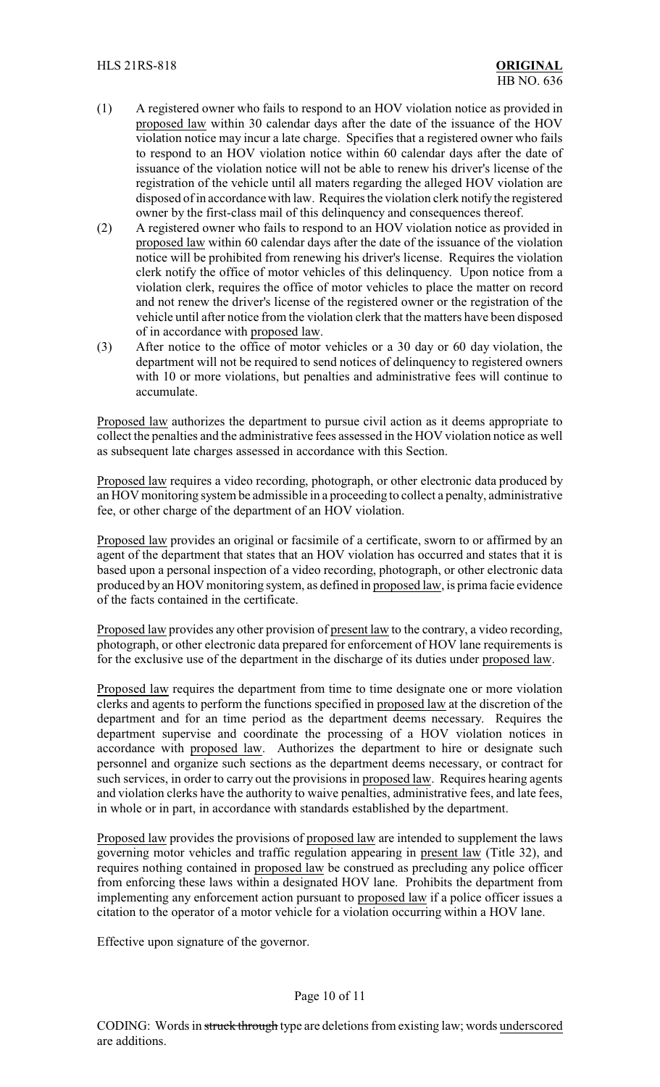- (1) A registered owner who fails to respond to an HOV violation notice as provided in proposed law within 30 calendar days after the date of the issuance of the HOV violation notice may incur a late charge. Specifies that a registered owner who fails to respond to an HOV violation notice within 60 calendar days after the date of issuance of the violation notice will not be able to renew his driver's license of the registration of the vehicle until all maters regarding the alleged HOV violation are disposed of in accordance with law. Requires the violation clerk notify the registered owner by the first-class mail of this delinquency and consequences thereof.
- (2) A registered owner who fails to respond to an HOV violation notice as provided in proposed law within 60 calendar days after the date of the issuance of the violation notice will be prohibited from renewing his driver's license. Requires the violation clerk notify the office of motor vehicles of this delinquency. Upon notice from a violation clerk, requires the office of motor vehicles to place the matter on record and not renew the driver's license of the registered owner or the registration of the vehicle until after notice from the violation clerk that the matters have been disposed of in accordance with proposed law.
- (3) After notice to the office of motor vehicles or a 30 day or 60 day violation, the department will not be required to send notices of delinquency to registered owners with 10 or more violations, but penalties and administrative fees will continue to accumulate.

Proposed law authorizes the department to pursue civil action as it deems appropriate to collect the penalties and the administrative fees assessed in the HOV violation notice as well as subsequent late charges assessed in accordance with this Section.

Proposed law requires a video recording, photograph, or other electronic data produced by an HOV monitoring system be admissible in a proceeding to collect a penalty, administrative fee, or other charge of the department of an HOV violation.

Proposed law provides an original or facsimile of a certificate, sworn to or affirmed by an agent of the department that states that an HOV violation has occurred and states that it is based upon a personal inspection of a video recording, photograph, or other electronic data produced by an HOV monitoring system, as defined in proposed law, is prima facie evidence of the facts contained in the certificate.

Proposed law provides any other provision of present law to the contrary, a video recording, photograph, or other electronic data prepared for enforcement of HOV lane requirements is for the exclusive use of the department in the discharge of its duties under proposed law.

Proposed law requires the department from time to time designate one or more violation clerks and agents to perform the functions specified in proposed law at the discretion of the department and for an time period as the department deems necessary. Requires the department supervise and coordinate the processing of a HOV violation notices in accordance with proposed law. Authorizes the department to hire or designate such personnel and organize such sections as the department deems necessary, or contract for such services, in order to carry out the provisions in proposed law. Requires hearing agents and violation clerks have the authority to waive penalties, administrative fees, and late fees, in whole or in part, in accordance with standards established by the department.

Proposed law provides the provisions of proposed law are intended to supplement the laws governing motor vehicles and traffic regulation appearing in present law (Title 32), and requires nothing contained in proposed law be construed as precluding any police officer from enforcing these laws within a designated HOV lane. Prohibits the department from implementing any enforcement action pursuant to proposed law if a police officer issues a citation to the operator of a motor vehicle for a violation occurring within a HOV lane.

Effective upon signature of the governor.